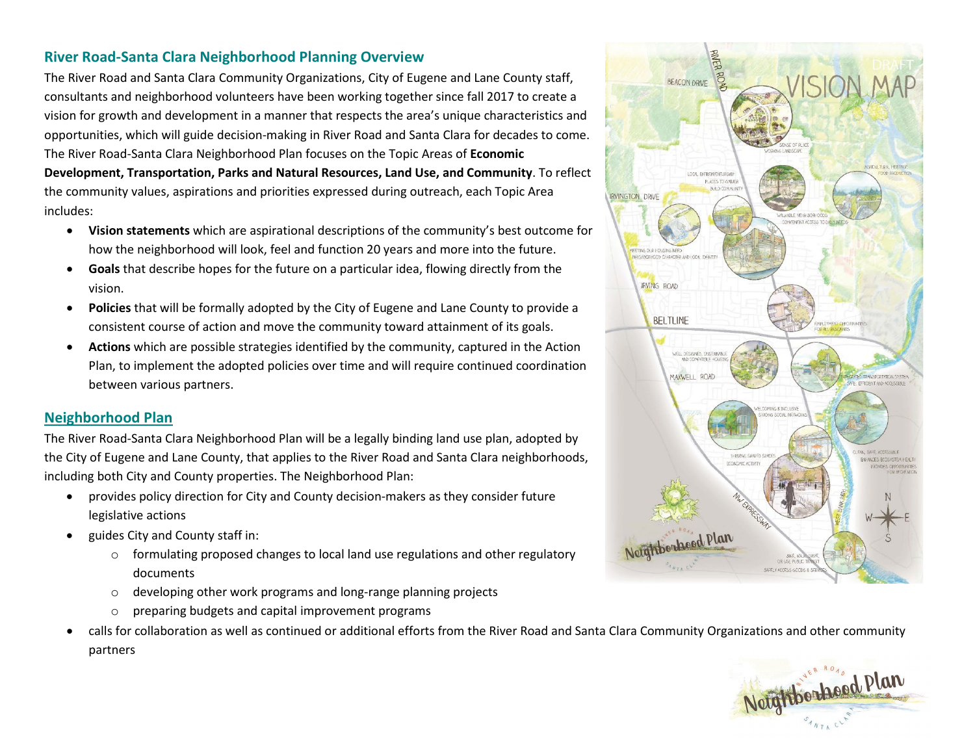## **River Road-Santa Clara Neighborhood Planning Overview**

The River Road and Santa Clara Community Organizations, City of Eugene and Lane County staff, consultants and neighborhood volunteers have been working together since fall 2017 to create a vision for growth and development in a manner that respects the area's unique characteristics and opportunities, which will guide decision-making in River Road and Santa Clara for decades to come. The River Road-Santa Clara Neighborhood Plan focuses on the Topic Areas of **Economic Development, Transportation, Parks and Natural Resources, Land Use, and Community**. To reflect the community values, aspirations and priorities expressed during outreach, each Topic Area includes:

- **Vision statements** which are aspirational descriptions of the community's best outcome for how the neighborhood will look, feel and function 20 years and more into the future.
- **Goals** that describe hopes for the future on a particular idea, flowing directly from the vision.
- **Policies** that will be formally adopted by the City of Eugene and Lane County to provide a consistent course of action and move the community toward attainment of its goals.
- **Actions** which are possible strategies identified by the community, captured in the Action Plan, to implement the adopted policies over time and will require continued coordination between various partners.

## **[Neighborhood Plan](https://www.eugene-or.gov/DocumentCenter/View/65547/220415_RRSC_NeighborhoodPlanDraft)**

The River Road-Santa Clara Neighborhood Plan will be a legally binding land use plan, adopted by the City of Eugene and Lane County, that applies to the River Road and Santa Clara neighborhoods, including both City and County properties. The Neighborhood Plan:

- provides policy direction for City and County decision-makers as they consider future legislative actions
- guides City and County staff in:
	- $\circ$  formulating proposed changes to local land use regulations and other regulatory documents
	- o developing other work programs and long-range planning projects
	- preparing budgets and capital improvement programs
- calls for collaboration as well as continued or additional efforts from the River Road and Santa Clara Community Organizations and other community partners